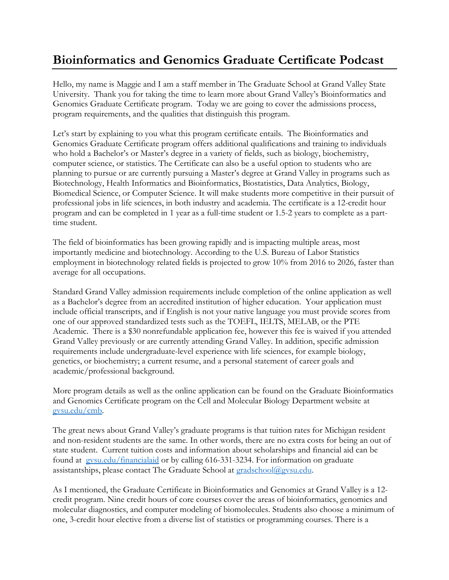## **Bioinformatics and Genomics Graduate Certificate Podcast**

Hello, my name is Maggie and I am a staff member in The Graduate School at Grand Valley State University. Thank you for taking the time to learn more about Grand Valley's Bioinformatics and Genomics Graduate Certificate program. Today we are going to cover the admissions process, program requirements, and the qualities that distinguish this program.

Let's start by explaining to you what this program certificate entails. The Bioinformatics and Genomics Graduate Certificate program offers additional qualifications and training to individuals who hold a Bachelor's or Master's degree in a variety of fields, such as biology, biochemistry, computer science, or statistics. The Certificate can also be a useful option to students who are planning to pursue or are currently pursuing a Master's degree at Grand Valley in programs such as Biotechnology, Health Informatics and Bioinformatics, Biostatistics, Data Analytics, Biology, Biomedical Science, or Computer Science. It will make students more competitive in their pursuit of professional jobs in life sciences, in both industry and academia. The certificate is a 12-credit hour program and can be completed in 1 year as a full-time student or 1.5-2 years to complete as a parttime student.

The field of bioinformatics has been growing rapidly and is impacting multiple areas, most importantly medicine and biotechnology. According to the U.S. Bureau of Labor Statistics employment in biotechnology related fields is projected to grow 10% from 2016 to 2026, faster than average for all occupations.

Standard Grand Valley admission requirements include completion of the online application as well as a Bachelor's degree from an accredited institution of higher education. Your application must include official transcripts, and if English is not your native language you must provide scores from one of our approved standardized tests such as the TOEFL, IELTS, MELAB, or the PTE Academic. There is a \$30 nonrefundable application fee, however this fee is waived if you attended Grand Valley previously or are currently attending Grand Valley. In addition, specific admission requirements include undergraduate-level experience with life sciences, for example biology, genetics, or biochemistry; a current resume, and a personal statement of career goals and academic/professional background.

More program details as well as the online application can be found on the Graduate Bioinformatics and Genomics Certificate program on the Cell and Molecular Biology Department website at [gvsu.edu/cmb.](https://www.gvsu.edu/cmb/)

The great news about Grand Valley's graduate programs is that tuition rates for Michigan resident and non-resident students are the same. In other words, there are no extra costs for being an out of state student. Current tuition costs and information about scholarships and financial aid can be found at[gvsu.edu/financialaid](http://www.gvsu.edu/financialaid) or by calling 616-331-3234. For information on graduate assistantships, please contact The Graduate School at [gradschool@gvsu.edu.](mailto:gradschool@gvsu.edu)

As I mentioned, the Graduate Certificate in Bioinformatics and Genomics at Grand Valley is a 12 credit program. Nine credit hours of core courses cover the areas of bioinformatics, genomics and molecular diagnostics, and computer modeling of biomolecules. Students also choose a minimum of one, 3-credit hour elective from a diverse list of statistics or programming courses. There is a